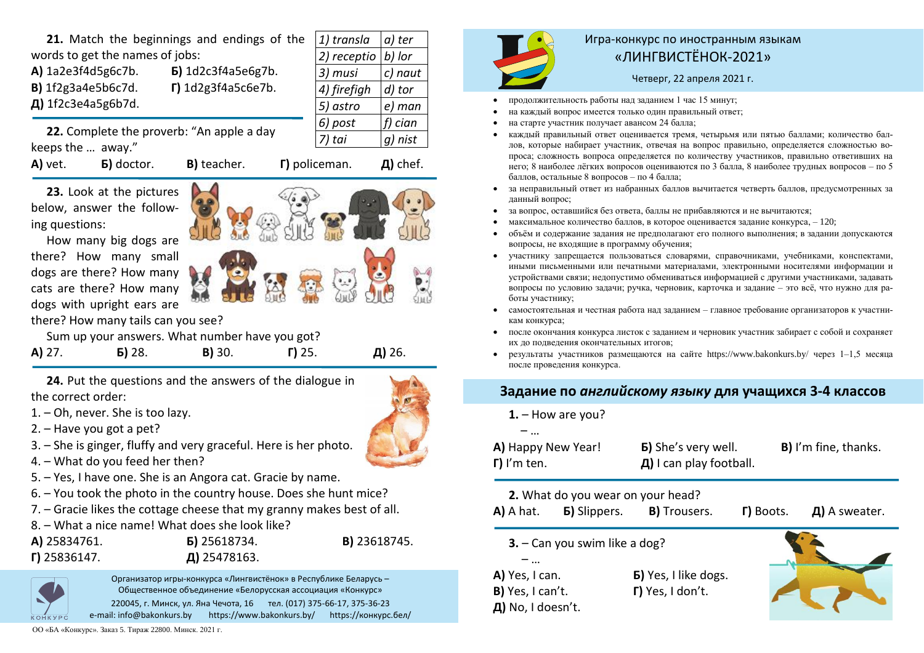**А)** vet. **Б)** doctor. **В)** teacher. **Г)** policeman. **Д)** chef.

**23.** Look at the pictures below, answer the following questions:

How many big dogs are there? How many small dogs are there? How many cats are there? How many dogs with upright ears are

there? How many tails can you see?

|  |  | Sum up your answers. What number have you got? |
|--|--|------------------------------------------------|
|  |  |                                                |

| $\blacksquare$<br>п.<br>. | $-$ | $-$ |  |
|---------------------------|-----|-----|--|
|                           |     |     |  |

**24.** Put the questions and the answers of the dialogue in the correct order:

- 1. Oh, never. She is too lazy.
- 2. Have you got a pet?
- 3. She is ginger, fluffy and very graceful. Here is her photo.
- 4. What do you feed her then?

5. – Yes, I have one. She is an Angora cat. Gracie by name.

- 6. You took the photo in the country house. Does she hunt mice?
- 7. Gracie likes the cottage cheese that my granny makes best of all.
- 8. What a nice name! What does she look like?

| A) 25834761.         | Б) 25618734. | B) 23618745. |
|----------------------|--------------|--------------|
| $\Gamma$ ) 25836147. | Д) 25478163. |              |

Организатор игры-конкурса «Лингвистёнок» в Республике Беларусь – Общественное объединение «Белорусская ассоциация «Конкурс» 220045, г. Минск, ул. Яна Чечота, 16 тел. (017) 375-66-17, 375-36-23 e-mail: info@bakonkurs.by https://www.bakonkurs.by/ https://конкурс.бел/

ОО «БА «Конкурс». Заказ 5. Тираж 22800. Минск. 2021 г.

## **21.** Match the beginnings and endings of the words to get the names of jobs:

**A)** 1a2e3f4d5g6c7b. **Б)** 1d2c3f4a5e6g7b. **В)** 1f2g3a4e5b6c7d. **Г)** 1d2g3f4a5c6e7b. **Д)** 1f2c3e4a5g6b7d.

**22.** Complete the proverb: "An apple a day keeps the … away."

*1) transla a) ter 2) receptio b) lor 3) musi c) naut 4) firefigh d) tor 5) astro e) man 6) post f) cian 7) tai g) nist*

## Игра-конкурс по иностранным языкам «ЛИНГВИСТЁНОК-2021»

Четверг, 22 апреля 2021 г.

- продолжительность работы над заданием 1 час 15 минут;
- на каждый вопрос имеется только один правильный ответ;
- на старте участник получает авансом 24 балла;
- каждый правильный ответ оценивается тремя, четырьмя или пятью баллами; количество баллов, которые набирает участник, отвечая на вопрос правильно, определяется сложностью вопроса; сложность вопроса определяется по количеству участников, правильно ответивших на него; 8 наиболее лёгких вопросов оцениваются по 3 балла, 8 наиболее трудных вопросов – по 5 баллов, остальные 8 вопросов – по 4 балла;
- за неправильный ответ из набранных баллов вычитается четверть баллов, предусмотренных за данный вопрос;
- за вопрос, оставшийся без ответа, баллы не прибавляются и не вычитаются;
- максимальное количество баллов, в которое оценивается задание конкурса, 120;
- объём и содержание задания не предполагают его полного выполнения; в задании допускаются вопросы, не входящие в программу обучения;
- участнику запрещается пользоваться словарями, справочниками, учебниками, конспектами, иными письменными или печатными материалами, электронными носителями информации и устройствами связи; недопустимо обмениваться информацией с другими участниками, задавать вопросы по условию задачи; ручка, черновик, карточка и задание – это всё, что нужно для работы участнику;
- самостоятельная и честная работа над заданием главное требование организаторов к участникам конкурса;
- после окончания конкурса листок с заданием и черновик участник забирает с собой и сохраняет их до подведения окончательных итогов;
- результаты участников размещаются на сайте https://www.bakonkurs.by/ через  $1-1,5$  месяца после проведения конкурса.

## **Задание по** *английскому языку* **для учащихся 3-4 классов**

| <b>6)</b> She's very well.<br>A) Happy New Year!    | <b>B)</b> I'm fine, thanks. |
|-----------------------------------------------------|-----------------------------|
| $\Gamma$ ) I'm ten.<br>$\mu$ ) I can play football. |                             |

|                  | 2. What do you wear on your head? |                     |                   |                                 |
|------------------|-----------------------------------|---------------------|-------------------|---------------------------------|
| <b>A)</b> A hat. | <b>b</b> ) Slippers.              | <b>B)</b> Trousers. | <b>r</b> ) Boots. | $\boldsymbol{\mu}$ ) A sweater. |

- **3.** Can you swim like a dog?
- … **В)** Yes, I can't. **Г)** Yes, I don't. **Д)** No, I doesn't.

**А)** Yes, I can. **Б)** Yes, I like dogs.